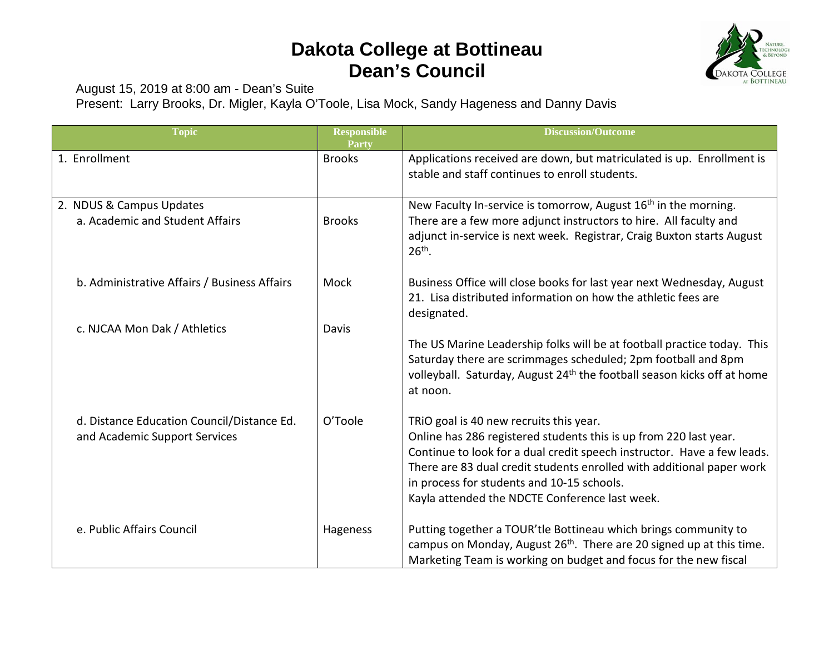## **Dakota College at Bottineau Dean's Council**



August 15, 2019 at 8:00 am - Dean's Suite

Present: Larry Brooks, Dr. Migler, Kayla O'Toole, Lisa Mock, Sandy Hageness and Danny Davis

| <b>Topic</b>                                                                | <b>Responsible</b><br>Party | <b>Discussion/Outcome</b>                                                                                                                                                                                                                                                                                                                                        |
|-----------------------------------------------------------------------------|-----------------------------|------------------------------------------------------------------------------------------------------------------------------------------------------------------------------------------------------------------------------------------------------------------------------------------------------------------------------------------------------------------|
| 1. Enrollment                                                               | <b>Brooks</b>               | Applications received are down, but matriculated is up. Enrollment is<br>stable and staff continues to enroll students.                                                                                                                                                                                                                                          |
| 2. NDUS & Campus Updates<br>a. Academic and Student Affairs                 | <b>Brooks</b>               | New Faculty In-service is tomorrow, August 16 <sup>th</sup> in the morning.<br>There are a few more adjunct instructors to hire. All faculty and<br>adjunct in-service is next week. Registrar, Craig Buxton starts August<br>$26th$ .                                                                                                                           |
| b. Administrative Affairs / Business Affairs                                | Mock                        | Business Office will close books for last year next Wednesday, August<br>21. Lisa distributed information on how the athletic fees are<br>designated.                                                                                                                                                                                                            |
| c. NJCAA Mon Dak / Athletics                                                | Davis                       | The US Marine Leadership folks will be at football practice today. This<br>Saturday there are scrimmages scheduled; 2pm football and 8pm<br>volleyball. Saturday, August 24 <sup>th</sup> the football season kicks off at home<br>at noon.                                                                                                                      |
| d. Distance Education Council/Distance Ed.<br>and Academic Support Services | O'Toole                     | TRIO goal is 40 new recruits this year.<br>Online has 286 registered students this is up from 220 last year.<br>Continue to look for a dual credit speech instructor. Have a few leads.<br>There are 83 dual credit students enrolled with additional paper work<br>in process for students and 10-15 schools.<br>Kayla attended the NDCTE Conference last week. |
| e. Public Affairs Council                                                   | Hageness                    | Putting together a TOUR'tle Bottineau which brings community to<br>campus on Monday, August 26 <sup>th</sup> . There are 20 signed up at this time.<br>Marketing Team is working on budget and focus for the new fiscal                                                                                                                                          |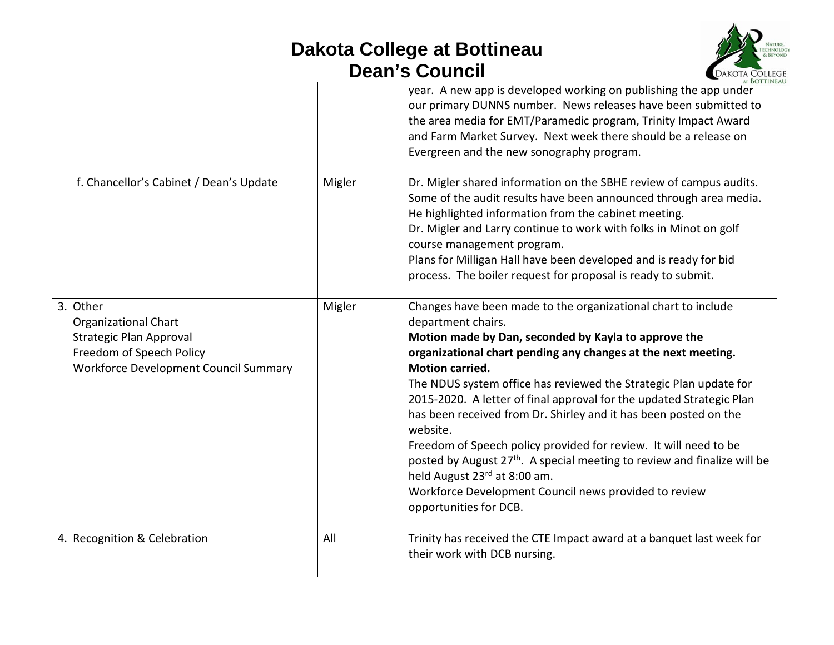## **Dakota College at Bottineau Dean's Council**



|                                                                                                                                                       |        | year. A new app is developed working on publishing the app under<br>our primary DUNNS number. News releases have been submitted to<br>the area media for EMT/Paramedic program, Trinity Impact Award<br>and Farm Market Survey. Next week there should be a release on<br>Evergreen and the new sonography program.                                                                                                                                                                                                                                                                                                                                                                                                                                |
|-------------------------------------------------------------------------------------------------------------------------------------------------------|--------|----------------------------------------------------------------------------------------------------------------------------------------------------------------------------------------------------------------------------------------------------------------------------------------------------------------------------------------------------------------------------------------------------------------------------------------------------------------------------------------------------------------------------------------------------------------------------------------------------------------------------------------------------------------------------------------------------------------------------------------------------|
| f. Chancellor's Cabinet / Dean's Update                                                                                                               | Migler | Dr. Migler shared information on the SBHE review of campus audits.<br>Some of the audit results have been announced through area media.<br>He highlighted information from the cabinet meeting.<br>Dr. Migler and Larry continue to work with folks in Minot on golf<br>course management program.<br>Plans for Milligan Hall have been developed and is ready for bid<br>process. The boiler request for proposal is ready to submit.                                                                                                                                                                                                                                                                                                             |
| 3. Other<br><b>Organizational Chart</b><br><b>Strategic Plan Approval</b><br>Freedom of Speech Policy<br><b>Workforce Development Council Summary</b> | Migler | Changes have been made to the organizational chart to include<br>department chairs.<br>Motion made by Dan, seconded by Kayla to approve the<br>organizational chart pending any changes at the next meeting.<br><b>Motion carried.</b><br>The NDUS system office has reviewed the Strategic Plan update for<br>2015-2020. A letter of final approval for the updated Strategic Plan<br>has been received from Dr. Shirley and it has been posted on the<br>website.<br>Freedom of Speech policy provided for review. It will need to be<br>posted by August 27 <sup>th</sup> . A special meeting to review and finalize will be<br>held August 23rd at 8:00 am.<br>Workforce Development Council news provided to review<br>opportunities for DCB. |
| 4. Recognition & Celebration                                                                                                                          | All    | Trinity has received the CTE Impact award at a banquet last week for<br>their work with DCB nursing.                                                                                                                                                                                                                                                                                                                                                                                                                                                                                                                                                                                                                                               |
|                                                                                                                                                       |        |                                                                                                                                                                                                                                                                                                                                                                                                                                                                                                                                                                                                                                                                                                                                                    |